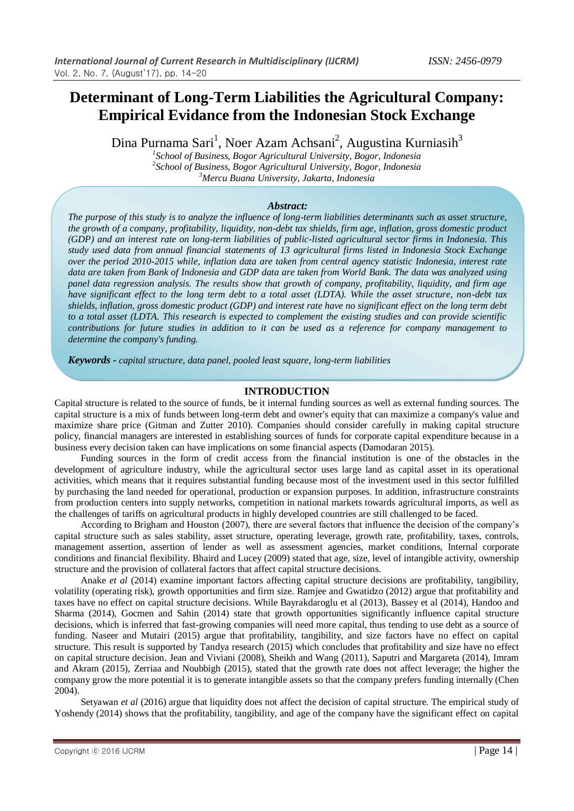# **Determinant of Long-Term Liabilities the Agricultural Company: Empirical Evidance from the Indonesian Stock Exchange**

Dina Purnama Sari<sup>1</sup>, Noer Azam Achsani<sup>2</sup>, Augustina Kurniasih<sup>3</sup>

*1 School of Business, Bogor Agricultural University, Bogor, Indonesia 2 School of Business, Bogor Agricultural University, Bogor, Indonesia <sup>3</sup>Mercu Buana University, Jakarta, Indonesia*

# *Abstract:*

*The purpose of this study is to analyze the influence of long-term liabilities determinants such as asset structure, the growth of a company, profitability, liquidity, non-debt tax shields, firm age, inflation, gross domestic product (GDP) and an interest rate on long-term liabilities of public-listed agricultural sector firms in Indonesia. This study used data from annual financial statements of 13 agricultural firms listed in Indonesia Stock Exchange over the period 2010-2015 while, inflation data are taken from central agency statistic Indonesia, interest rate data are taken from Bank of Indonesia and GDP data are taken from World Bank. The data was analyzed using panel data regression analysis. The results show that growth of company, profitability, liquidity, and firm age have significant effect to the long term debt to a total asset (LDTA). While the asset structure, non-debt tax shields, inflation, gross domestic product (GDP) and interest rate have no significant effect on the long term debt to a total asset (LDTA. This research is expected to complement the existing studies and can provide scientific contributions for future studies in addition to it can be used as a reference for company management to determine the company's funding.*

*Keywords - capital structure, data panel, pooled least square, long-term liabilities*

# **INTRODUCTION**

Capital structure is related to the source of funds, be it internal funding sources as well as external funding sources. The capital structure is a mix of funds between long-term debt and owner's equity that can maximize a company's value and maximize share price (Gitman and Zutter 2010). Companies should consider carefully in making capital structure policy, financial managers are interested in establishing sources of funds for corporate capital expenditure because in a business every decision taken can have implications on some financial aspects (Damodaran 2015).

Funding sources in the form of credit access from the financial institution is one of the obstacles in the development of agriculture industry, while the agricultural sector uses large land as capital asset in its operational activities, which means that it requires substantial funding because most of the investment used in this sector fulfilled by purchasing the land needed for operational, production or expansion purposes. In addition, infrastructure constraints from production centers into supply networks, competition in national markets towards agricultural imports, as well as the challenges of tariffs on agricultural products in highly developed countries are still challenged to be faced.

According to Brigham and Houston (2007), there are several factors that influence the decision of the company's capital structure such as sales stability, asset structure, operating leverage, growth rate, profitability, taxes, controls, management assertion, assertion of lender as well as assessment agencies, market conditions, Internal corporate conditions and financial flexibility. Bhaird and Lucey (2009) stated that age, size, level of intangible activity, ownership structure and the provision of collateral factors that affect capital structure decisions.

Anake *et al* (2014) examine important factors affecting capital structure decisions are profitability, tangibility, volatility (operating risk), growth opportunities and firm size. Ramjee and Gwatidzo (2012) argue that profitability and taxes have no effect on capital structure decisions. While Bayrakdaroglu et al (2013), Bassey et al (2014), Handoo and Sharma (2014), Gocmen and Sahin (2014) state that growth opportunities significantly influence capital structure decisions, which is inferred that fast-growing companies will need more capital, thus tending to use debt as a source of funding. Naseer and Mutairi (2015) argue that profitability, tangibility, and size factors have no effect on capital structure. This result is supported by Tandya research (2015) which concludes that profitability and size have no effect on capital structure decision. Jean and Viviani (2008), Sheikh and Wang (2011), Saputri and Margareta (2014), Imram and Akram (2015), Zerriaa and Noubbigh (2015), stated that the growth rate does not affect leverage; the higher the company grow the more potential it is to generate intangible assets so that the company prefers funding internally (Chen 2004).

Setyawan *et al* (2016) argue that liquidity does not affect the decision of capital structure. The empirical study of Yoshendy (2014) shows that the profitability, tangibility, and age of the company have the significant effect on capital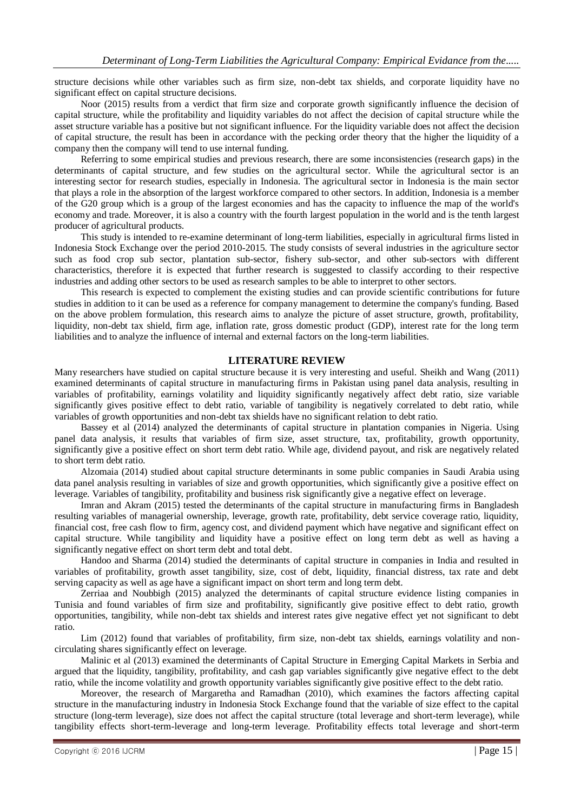structure decisions while other variables such as firm size, non-debt tax shields, and corporate liquidity have no significant effect on capital structure decisions.

Noor (2015) results from a verdict that firm size and corporate growth significantly influence the decision of capital structure, while the profitability and liquidity variables do not affect the decision of capital structure while the asset structure variable has a positive but not significant influence. For the liquidity variable does not affect the decision of capital structure, the result has been in accordance with the pecking order theory that the higher the liquidity of a company then the company will tend to use internal funding.

Referring to some empirical studies and previous research, there are some inconsistencies (research gaps) in the determinants of capital structure, and few studies on the agricultural sector. While the agricultural sector is an interesting sector for research studies, especially in Indonesia. The agricultural sector in Indonesia is the main sector that plays a role in the absorption of the largest workforce compared to other sectors. In addition, Indonesia is a member of the G20 group which is a group of the largest economies and has the capacity to influence the map of the world's economy and trade. Moreover, it is also a country with the fourth largest population in the world and is the tenth largest producer of agricultural products.

This study is intended to re-examine determinant of long-term liabilities, especially in agricultural firms listed in Indonesia Stock Exchange over the period 2010-2015. The study consists of several industries in the agriculture sector such as food crop sub sector, plantation sub-sector, fishery sub-sector, and other sub-sectors with different characteristics, therefore it is expected that further research is suggested to classify according to their respective industries and adding other sectors to be used as research samples to be able to interpret to other sectors.

This research is expected to complement the existing studies and can provide scientific contributions for future studies in addition to it can be used as a reference for company management to determine the company's funding. Based on the above problem formulation, this research aims to analyze the picture of asset structure, growth, profitability, liquidity, non-debt tax shield, firm age, inflation rate, gross domestic product (GDP), interest rate for the long term liabilities and to analyze the influence of internal and external factors on the long-term liabilities.

#### **LITERATURE REVIEW**

Many researchers have studied on capital structure because it is very interesting and useful. Sheikh and Wang (2011) examined determinants of capital structure in manufacturing firms in Pakistan using panel data analysis, resulting in variables of profitability, earnings volatility and liquidity significantly negatively affect debt ratio, size variable significantly gives positive effect to debt ratio, variable of tangibility is negatively correlated to debt ratio, while variables of growth opportunities and non-debt tax shields have no significant relation to debt ratio.

Bassey et al (2014) analyzed the determinants of capital structure in plantation companies in Nigeria. Using panel data analysis, it results that variables of firm size, asset structure, tax, profitability, growth opportunity, significantly give a positive effect on short term debt ratio. While age, dividend payout, and risk are negatively related to short term debt ratio.

Alzomaia (2014) studied about capital structure determinants in some public companies in Saudi Arabia using data panel analysis resulting in variables of size and growth opportunities, which significantly give a positive effect on leverage. Variables of tangibility, profitability and business risk significantly give a negative effect on leverage.

Imran and Akram (2015) tested the determinants of the capital structure in manufacturing firms in Bangladesh resulting variables of managerial ownership, leverage, growth rate, profitability, debt service coverage ratio, liquidity, financial cost, free cash flow to firm, agency cost, and dividend payment which have negative and significant effect on capital structure. While tangibility and liquidity have a positive effect on long term debt as well as having a significantly negative effect on short term debt and total debt.

Handoo and Sharma (2014) studied the determinants of capital structure in companies in India and resulted in variables of profitability, growth asset tangibility, size, cost of debt, liquidity, financial distress, tax rate and debt serving capacity as well as age have a significant impact on short term and long term debt.

Zerriaa and Noubbigh (2015) analyzed the determinants of capital structure evidence listing companies in Tunisia and found variables of firm size and profitability, significantly give positive effect to debt ratio, growth opportunities, tangibility, while non-debt tax shields and interest rates give negative effect yet not significant to debt ratio.

Lim (2012) found that variables of profitability, firm size, non-debt tax shields, earnings volatility and noncirculating shares significantly effect on leverage.

Malinic et al (2013) examined the determinants of Capital Structure in Emerging Capital Markets in Serbia and argued that the liquidity, tangibility, profitability, and cash gap variables significantly give negative effect to the debt ratio, while the income volatility and growth opportunity variables significantly give positive effect to the debt ratio.

Moreover, the research of Margaretha and Ramadhan (2010), which examines the factors affecting capital structure in the manufacturing industry in Indonesia Stock Exchange found that the variable of size effect to the capital structure (long-term leverage), size does not affect the capital structure (total leverage and short-term leverage), while tangibility effects short-term-leverage and long-term leverage. Profitability effects total leverage and short-term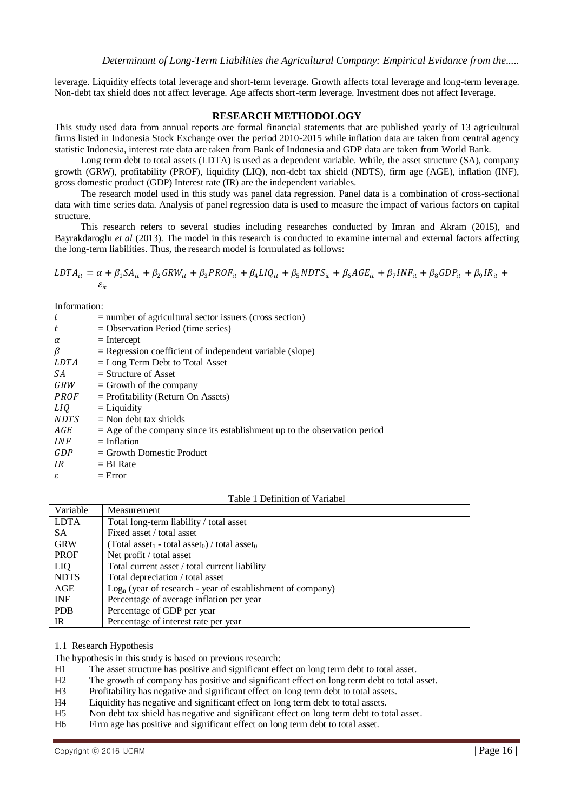leverage. Liquidity effects total leverage and short-term leverage. Growth affects total leverage and long-term leverage. Non-debt tax shield does not affect leverage. Age affects short-term leverage. Investment does not affect leverage.

### **RESEARCH METHODOLOGY**

This study used data from annual reports are formal financial statements that are published yearly of 13 agricultural firms listed in Indonesia Stock Exchange over the period 2010-2015 while inflation data are taken from central agency statistic Indonesia, interest rate data are taken from Bank of Indonesia and GDP data are taken from World Bank.

Long term debt to total assets (LDTA) is used as a dependent variable. While, the asset structure (SA), company growth (GRW), profitability (PROF), liquidity (LIQ), non-debt tax shield (NDTS), firm age (AGE), inflation (INF), gross domestic product (GDP) Interest rate (IR) are the independent variables.

The research model used in this study was panel data regression. Panel data is a combination of cross-sectional data with time series data. Analysis of panel regression data is used to measure the impact of various factors on capital structure.

This research refers to several studies including researches conducted by Imran and Akram (2015), and Bayrakdaroglu *et al* (2013). The model in this research is conducted to examine internal and external factors affecting the long-term liabilities. Thus, the research model is formulated as follows:

$$
LDTA_{it} = \alpha + \beta_1 SA_{it} + \beta_2 GRW_{it} + \beta_3 PROF_{it} + \beta_4 LIQ_{it} + \beta_5 NDTS_{it} + \beta_6 AGE_{it} + \beta_7 INF_{it} + \beta_8 GDP_{it} + \beta_9 IR_{it} + \epsilon_{it}
$$

Information:

| i           | $=$ number of agricultural sector issuers (cross section)                   |
|-------------|-----------------------------------------------------------------------------|
| t           | $=$ Observation Period (time series)                                        |
| $\alpha$    | $=$ Intercept                                                               |
| β           | $=$ Regression coefficient of independent variable (slope)                  |
| LDTA        | $=$ Long Term Debt to Total Asset                                           |
| SA.         | $=$ Structure of Asset                                                      |
| GRW         | $=$ Growth of the company                                                   |
| <i>PROF</i> | $=$ Profitability (Return On Assets)                                        |
| LIO         | $=$ Liquidity                                                               |
| <i>NDTS</i> | $=$ Non debt tax shields                                                    |
| AGE         | $=$ Age of the company since its establishment up to the observation period |
| <i>INF</i>  | $=$ Inflation                                                               |
| GDP         | $=$ Growth Domestic Product                                                 |
| IR          | $= BI$ Rate                                                                 |
| ε           | $=$ Error                                                                   |

Table 1 Definition of Variabel

| Variable    | Measurement                                                                       |
|-------------|-----------------------------------------------------------------------------------|
| <b>LDTA</b> | Total long-term liability / total asset                                           |
| SA.         | Fixed asset / total asset                                                         |
| <b>GRW</b>  | (Total asset <sub>1</sub> - total asset <sub>0</sub> ) / total asset <sub>0</sub> |
| <b>PROF</b> | Net profit / total asset                                                          |
| LIQ.        | Total current asset / total current liability                                     |
| <b>NDTS</b> | Total depreciation / total asset                                                  |
| AGE         | $Logn$ (year of research - year of establishment of company)                      |
| <b>INF</b>  | Percentage of average inflation per year                                          |
| <b>PDB</b>  | Percentage of GDP per year                                                        |
| IR          | Percentage of interest rate per year                                              |

1.1 Research Hypothesis

The hypothesis in this study is based on previous research:

H1 The asset structure has positive and significant effect on long term debt to total asset.

H2 The growth of company has positive and significant effect on long term debt to total asset.

H3 Profitability has negative and significant effect on long term debt to total assets.

H4 Liquidity has negative and significant effect on long term debt to total assets.

H5 Non debt tax shield has negative and significant effect on long term debt to total asset.

H6 Firm age has positive and significant effect on long term debt to total asset.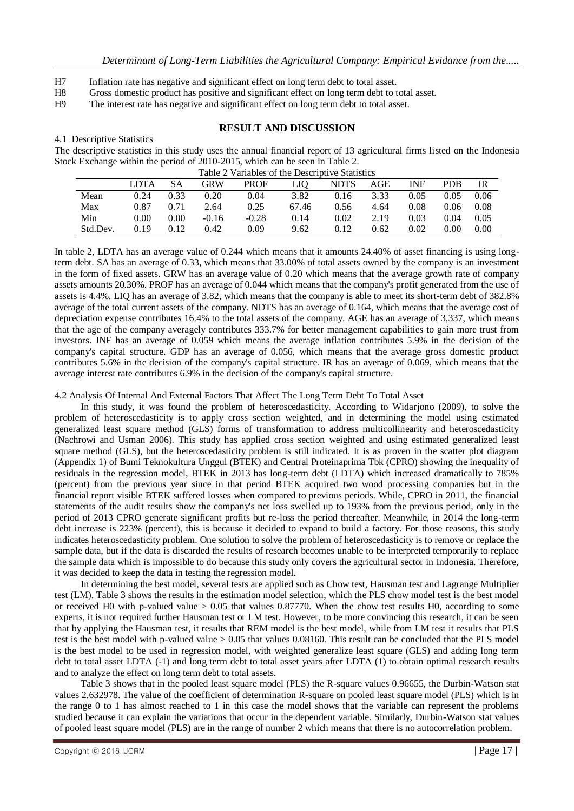- H7 Inflation rate has negative and significant effect on long term debt to total asset.
- H8 Gross domestic product has positive and significant effect on long term debt to total asset.
- H9 The interest rate has negative and significant effect on long term debt to total asset.

### **RESULT AND DISCUSSION**

4.1 Descriptive Statistics The descriptive statistics in this study uses the annual financial report of 13 agricultural firms listed on the Indonesia Stock Exchange within the period of 2010-2015, which can be seen in Table 2.

|      |          |                      | $1$ ave $2 \times$ allayes of the Descriptive Statistics |                               |      |                    |                     |             |  |
|------|----------|----------------------|----------------------------------------------------------|-------------------------------|------|--------------------|---------------------|-------------|--|
|      | LDTA SA  |                      | GRW PROF LIO NDTS AGE INF                                |                               |      |                    |                     | PDB IR      |  |
| Mean |          |                      | $0.24$ $0.33$ $0.20$ $0.04$                              | 3.82 0.16 3.33 0.05 0.05 0.06 |      |                    |                     |             |  |
| Max  |          | $0.87$ $0.71$ $2.64$ |                                                          | 0.25 67.46                    | 0.56 |                    | 4.64 0.08 0.06 0.08 |             |  |
| Min  | $0.00\,$ | $0.00 -0.16$         | $-0.28$                                                  | 0.14                          |      | $0.02 \qquad 2.19$ | 0.03                | $0.04$ 0.05 |  |

Std.Dev. 0.19 0.12 0.42 0.09 9.62 0.12 0.62 0.02 0.00 0.00

Table 2 Variables of the Descriptive Statistics

In table 2, LDTA has an average value of 0.244 which means that it amounts 24.40% of asset financing is using longterm debt. SA has an average of 0.33, which means that 33.00% of total assets owned by the company is an investment in the form of fixed assets. GRW has an average value of 0.20 which means that the average growth rate of company assets amounts 20.30%. PROF has an average of 0.044 which means that the company's profit generated from the use of assets is 4.4%. LIQ has an average of 3.82, which means that the company is able to meet its short-term debt of 382.8% average of the total current assets of the company. NDTS has an average of 0.164, which means that the average cost of depreciation expense contributes 16.4% to the total assets of the company. AGE has an average of 3,337, which means that the age of the company averagely contributes 333.7% for better management capabilities to gain more trust from investors. INF has an average of 0.059 which means the average inflation contributes 5.9% in the decision of the company's capital structure. GDP has an average of 0.056, which means that the average gross domestic product contributes 5.6% in the decision of the company's capital structure. IR has an average of 0.069, which means that the average interest rate contributes 6.9% in the decision of the company's capital structure.

4.2 Analysis Of Internal And External Factors That Affect The Long Term Debt To Total Asset

In this study, it was found the problem of heteroscedasticity. According to Widarjono (2009), to solve the problem of heteroscedasticity is to apply cross section weighted, and in determining the model using estimated generalized least square method (GLS) forms of transformation to address multicollinearity and heteroscedasticity (Nachrowi and Usman 2006). This study has applied cross section weighted and using estimated generalized least square method (GLS), but the heteroscedasticity problem is still indicated. It is as proven in the scatter plot diagram (Appendix 1) of Bumi Teknokultura Unggul (BTEK) and Central Proteinaprima Tbk (CPRO) showing the inequality of residuals in the regression model, BTEK in 2013 has long-term debt (LDTA) which increased dramatically to 785% (percent) from the previous year since in that period BTEK acquired two wood processing companies but in the financial report visible BTEK suffered losses when compared to previous periods. While, CPRO in 2011, the financial statements of the audit results show the company's net loss swelled up to 193% from the previous period, only in the period of 2013 CPRO generate significant profits but re-loss the period thereafter. Meanwhile, in 2014 the long-term debt increase is 223% (percent), this is because it decided to expand to build a factory. For those reasons, this study indicates heteroscedasticity problem. One solution to solve the problem of heteroscedasticity is to remove or replace the sample data, but if the data is discarded the results of research becomes unable to be interpreted temporarily to replace the sample data which is impossible to do because this study only covers the agricultural sector in Indonesia. Therefore, it was decided to keep the data in testing the regression model.

In determining the best model, several tests are applied such as Chow test, Hausman test and Lagrange Multiplier test (LM). Table 3 shows the results in the estimation model selection, which the PLS chow model test is the best model or received H0 with p-valued value  $> 0.05$  that values 0.87770. When the chow test results H0, according to some experts, it is not required further Hausman test or LM test. However, to be more convincing this research, it can be seen that by applying the Hausman test, it results that REM model is the best model, while from LM test it results that PLS test is the best model with p-valued value  $> 0.05$  that values 0.08160. This result can be concluded that the PLS model is the best model to be used in regression model, with weighted generalize least square (GLS) and adding long term debt to total asset LDTA (-1) and long term debt to total asset years after LDTA (1) to obtain optimal research results and to analyze the effect on long term debt to total assets.

Table 3 shows that in the pooled least square model (PLS) the R-square values 0.96655, the Durbin-Watson stat values 2.632978. The value of the coefficient of determination R-square on pooled least square model (PLS) which is in the range 0 to 1 has almost reached to 1 in this case the model shows that the variable can represent the problems studied because it can explain the variations that occur in the dependent variable. Similarly, Durbin-Watson stat values of pooled least square model (PLS) are in the range of number 2 which means that there is no autocorrelation problem.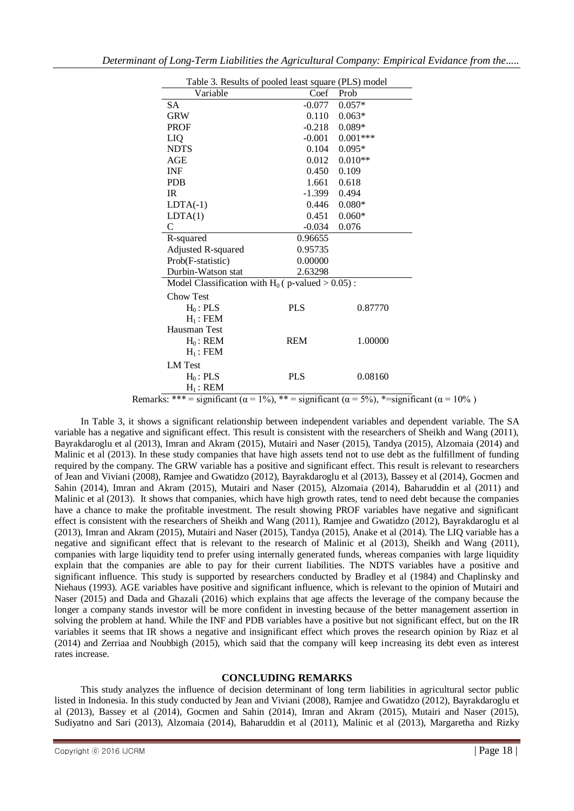| Table 3. Results of pooled least square (PLS) model |            |            |  |  |  |
|-----------------------------------------------------|------------|------------|--|--|--|
| Variable                                            | Coef       | Prob       |  |  |  |
| <b>SA</b>                                           | $-0.077$   | $0.057*$   |  |  |  |
| <b>GRW</b>                                          | 0.110      | $0.063*$   |  |  |  |
| <b>PROF</b>                                         | $-0.218$   | $0.089*$   |  |  |  |
| LIQ                                                 | $-0.001$   | $0.001***$ |  |  |  |
| <b>NDTS</b>                                         | 0.104      | $0.095*$   |  |  |  |
| AGE                                                 | 0.012      | $0.010**$  |  |  |  |
| <b>INF</b>                                          | 0.450      | 0.109      |  |  |  |
| <b>PDB</b>                                          | 1.661      | 0.618      |  |  |  |
| IR.                                                 | $-1.399$   | 0.494      |  |  |  |
| $LDTA(-1)$                                          | 0.446      | $0.080*$   |  |  |  |
| LDTA(1)                                             | 0.451      | $0.060*$   |  |  |  |
| $\mathsf{C}$                                        | $-0.034$   | 0.076      |  |  |  |
| R-squared                                           | 0.96655    |            |  |  |  |
| Adjusted R-squared                                  | 0.95735    |            |  |  |  |
| Prob(F-statistic)                                   | 0.00000    |            |  |  |  |
| Durbin-Watson stat                                  | 2.63298    |            |  |  |  |
| Model Classification with $H_0$ ( p-valued > 0.05): |            |            |  |  |  |
| <b>Chow Test</b>                                    |            |            |  |  |  |
| $H_0$ : PLS                                         | <b>PLS</b> | 0.87770    |  |  |  |
| $H_1$ : FEM                                         |            |            |  |  |  |
| Hausman Test                                        |            |            |  |  |  |
| $H_0$ : REM                                         | <b>REM</b> | 1.00000    |  |  |  |
| $H_1$ : FEM                                         |            |            |  |  |  |
| <b>LM</b> Test                                      |            |            |  |  |  |
| $H_0$ : PLS                                         | <b>PLS</b> | 0.08160    |  |  |  |
| $H_1$ : REM                                         |            |            |  |  |  |

Remarks: \*\*\* = significant ( $\alpha$  = 1%), \*\* = significant ( $\alpha$  = 5%), \*=significant ( $\alpha$  = 10%)

In Table 3, it shows a significant relationship between independent variables and dependent variable. The SA variable has a negative and significant effect. This result is consistent with the researchers of Sheikh and Wang (2011), Bayrakdaroglu et al (2013), Imran and Akram (2015), Mutairi and Naser (2015), Tandya (2015), Alzomaia (2014) and Malinic et al (2013). In these study companies that have high assets tend not to use debt as the fulfillment of funding required by the company. The GRW variable has a positive and significant effect. This result is relevant to researchers of Jean and Viviani (2008), Ramjee and Gwatidzo (2012), Bayrakdaroglu et al (2013), Bassey et al (2014), Gocmen and Sahin (2014), Imran and Akram (2015), Mutairi and Naser (2015), Alzomaia (2014), Baharuddin et al (2011) and Malinic et al (2013). It shows that companies, which have high growth rates, tend to need debt because the companies have a chance to make the profitable investment. The result showing PROF variables have negative and significant effect is consistent with the researchers of Sheikh and Wang (2011), Ramjee and Gwatidzo (2012), Bayrakdaroglu et al (2013), Imran and Akram (2015), Mutairi and Naser (2015), Tandya (2015), Anake et al (2014). The LIQ variable has a negative and significant effect that is relevant to the research of Malinic et al (2013), Sheikh and Wang (2011), companies with large liquidity tend to prefer using internally generated funds, whereas companies with large liquidity explain that the companies are able to pay for their current liabilities. The NDTS variables have a positive and significant influence. This study is supported by researchers conducted by Bradley et al (1984) and Chaplinsky and Niehaus (1993). AGE variables have positive and significant influence, which is relevant to the opinion of Mutairi and Naser (2015) and Dada and Ghazali (2016) which explains that age affects the leverage of the company because the longer a company stands investor will be more confident in investing because of the better management assertion in solving the problem at hand. While the INF and PDB variables have a positive but not significant effect, but on the IR variables it seems that IR shows a negative and insignificant effect which proves the research opinion by Riaz et al (2014) and Zerriaa and Noubbigh (2015), which said that the company will keep increasing its debt even as interest rates increase.

### **CONCLUDING REMARKS**

This study analyzes the influence of decision determinant of long term liabilities in agricultural sector public listed in Indonesia. In this study conducted by Jean and Viviani (2008), Ramjee and Gwatidzo (2012), Bayrakdaroglu et al (2013), Bassey et al (2014), Gocmen and Sahin (2014), Imran and Akram (2015), Mutairi and Naser (2015), Sudiyatno and Sari (2013), Alzomaia (2014), Baharuddin et al (2011), Malinic et al (2013), Margaretha and Rizky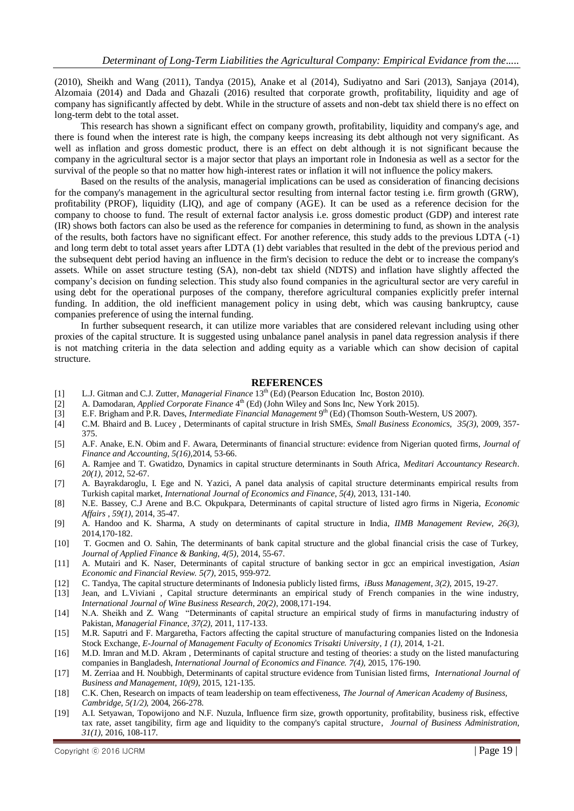(2010), Sheikh and Wang (2011), Tandya (2015), Anake et al (2014), Sudiyatno and Sari (2013), Sanjaya (2014), Alzomaia (2014) and Dada and Ghazali (2016) resulted that corporate growth, profitability, liquidity and age of company has significantly affected by debt. While in the structure of assets and non-debt tax shield there is no effect on long-term debt to the total asset.

This research has shown a significant effect on company growth, profitability, liquidity and company's age, and there is found when the interest rate is high, the company keeps increasing its debt although not very significant. As well as inflation and gross domestic product, there is an effect on debt although it is not significant because the company in the agricultural sector is a major sector that plays an important role in Indonesia as well as a sector for the survival of the people so that no matter how high-interest rates or inflation it will not influence the policy makers.

Based on the results of the analysis, managerial implications can be used as consideration of financing decisions for the company's management in the agricultural sector resulting from internal factor testing i.e. firm growth (GRW), profitability (PROF), liquidity (LIQ), and age of company (AGE). It can be used as a reference decision for the company to choose to fund. The result of external factor analysis i.e. gross domestic product (GDP) and interest rate (IR) shows both factors can also be used as the reference for companies in determining to fund, as shown in the analysis of the results, both factors have no significant effect. For another reference, this study adds to the previous LDTA (-1) and long term debt to total asset years after LDTA (1) debt variables that resulted in the debt of the previous period and the subsequent debt period having an influence in the firm's decision to reduce the debt or to increase the company's assets. While on asset structure testing (SA), non-debt tax shield (NDTS) and inflation have slightly affected the company's decision on funding selection. This study also found companies in the agricultural sector are very careful in using debt for the operational purposes of the company, therefore agricultural companies explicitly prefer internal funding. In addition, the old inefficient management policy in using debt, which was causing bankruptcy, cause companies preference of using the internal funding.

In further subsequent research, it can utilize more variables that are considered relevant including using other proxies of the capital structure. It is suggested using unbalance panel analysis in panel data regression analysis if there is not matching criteria in the data selection and adding equity as a variable which can show decision of capital structure.

#### **REFERENCES**

- [1] L.J. Gitman and C.J. Zutter, *Managerial Finance* 13th (Ed) (Pearson Education Inc, Boston 2010).
- [2] A. Damodaran, *Applied Corporate Finance* 4<sup>th</sup> (Ed) (John Wiley and Sons Inc, New York 2015).
- [3] E.F. Brigham and P.R. Daves, *Intermediate Financial Management* 9 th (Ed) (Thomson South-Western, US 2007).
- [4] C.M. Bhaird and B. Lucey , Determinants of capital structure in Irish SMEs, *Small Business Economics, 35(3)*, 2009, 357- 375.
- [5] A.F. Anake, E.N. Obim and F. Awara, Determinants of financial structure: evidence from Nigerian quoted firms, *Journal of Finance and Accounting, 5(16),*2014, 53-66.
- [6] A. Ramjee and T. Gwatidzo, Dynamics in capital structure determinants in South Africa, *Meditari Accountancy Research*. *20(1)*, 2012, 52-67.
- [7] A. Bayrakdaroglu, I. Ege and N. Yazici, A panel data analysis of capital structure determinants empirical results from Turkish capital market, *International Journal of Economics and Finance*, *5(4)*, 2013, 131-140.
- [8] N.E. Bassey, C.J Arene and B.C. Okpukpara, Determinants of capital structure of listed agro firms in Nigeria, *Economic Affairs , 59(1)*, 2014, 35-47.
- [9] A. Handoo and K. Sharma, A study on determinants of capital structure in India, *IIMB Management Review*, *26(3),* 2014,170-182.
- [10] T. Gocmen and O. Sahin, The determinants of bank capital structure and the global financial crisis the case of Turkey, *Journal of Applied Finance & Banking, 4(5)*, 2014, 55-67.
- [11] A. Mutairi and K. Naser, Determinants of capital structure of banking sector in gcc an empirical investigation, *Asian Economic and Financial Review. 5(7)*, 2015, 959-972.
- [12] C. Tandya, The capital structure determinants of Indonesia publicly listed firms, *iBuss Management, 3(2),* 2015, 19-27.
- [13] Jean, and L.Viviani , Capital structure determinants an empirical study of French companies in the wine industry, *International Journal of Wine Business Research, 20(2)*, 2008,171-194.
- [14] N.A. Sheikh and Z. Wang "Determinants of capital structure an empirical study of firms in manufacturing industry of Pakistan, *Managerial Finance, 37(2)*, 2011, 117-133.
- [15] M.R. Saputri and F. Margaretha, Factors affecting the capital structure of manufacturing companies listed on the Indonesia Stock Exchange, *E-Journal of Management Faculty of Economics Trisakti University*, *1 (1)*, 2014, 1-21.
- [16] M.D. Imran and M.D. Akram , Determinants of capital structure and testing of theories: a study on the listed manufacturing companies in Bangladesh, *International Journal of Economics and Finance. 7(4)*, 2015, 176-190.
- [17] M. Zerriaa and H. Noubbigh, Determinants of capital structure evidence from Tunisian listed firms, *International Journal of Business and Management, 10(9)*, 2015, 121-135.
- [18] C.K. Chen, Research on impacts of team leadership on team effectiveness, *The Journal of American Academy of Business, Cambridge, 5(1/2),* 2004, 266-278.
- [19] A.I. Setyawan, Topowijono and N.F. Nuzula, Influence firm size, growth opportunity, profitability, business risk, effective tax rate, asset tangibility, firm age and liquidity to the company's capital structure, *Journal of Business Administration, 31(1)*, 2016, 108-117.